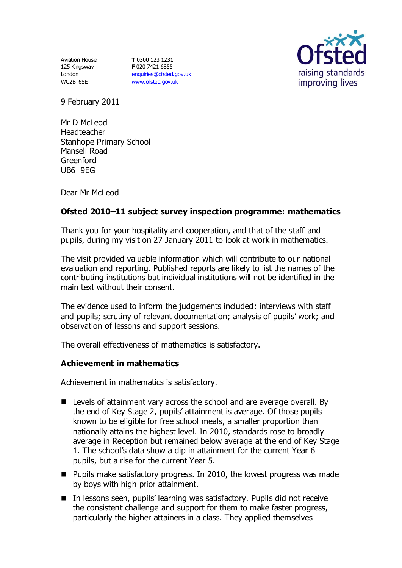Aviation House 125 Kingsway London WC2B 6SE

**T** 0300 123 1231 **F** 020 7421 6855 [enquiries@ofsted.gov.uk](mailto:enquiries@ofsted.gov.uk) [www.ofsted.gov.uk](http://www.ofsted.gov.uk/)



9 February 2011

Mr D McLeod Headteacher Stanhope Primary School Mansell Road Greenford UB6 9EG

Dear Mr McLeod

# **Ofsted 2010–11 subject survey inspection programme: mathematics**

Thank you for your hospitality and cooperation, and that of the staff and pupils, during my visit on 27 January 2011 to look at work in mathematics.

The visit provided valuable information which will contribute to our national evaluation and reporting. Published reports are likely to list the names of the contributing institutions but individual institutions will not be identified in the main text without their consent.

The evidence used to inform the judgements included: interviews with staff and pupils; scrutiny of relevant documentation; analysis of pupils' work; and observation of lessons and support sessions.

The overall effectiveness of mathematics is satisfactory.

## **Achievement in mathematics**

Achievement in mathematics is satisfactory.

- Levels of attainment vary across the school and are average overall. By the end of Key Stage 2, pupils' attainment is average. Of those pupils known to be eligible for free school meals, a smaller proportion than nationally attains the highest level. In 2010, standards rose to broadly average in Reception but remained below average at the end of Key Stage 1. The school's data show a dip in attainment for the current Year 6 pupils, but a rise for the current Year 5.
- $\blacksquare$  Pupils make satisfactory progress. In 2010, the lowest progress was made by boys with high prior attainment.
- In lessons seen, pupils' learning was satisfactory. Pupils did not receive the consistent challenge and support for them to make faster progress, particularly the higher attainers in a class. They applied themselves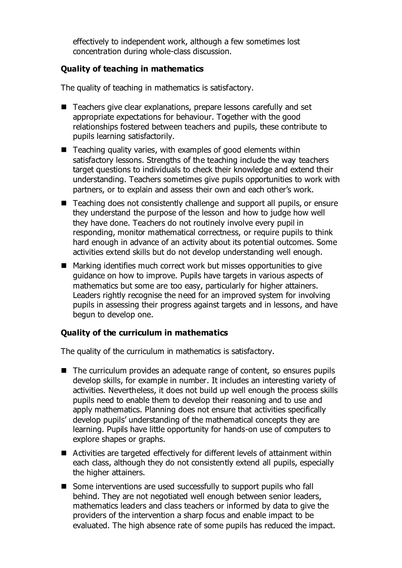effectively to independent work, although a few sometimes lost concentration during whole-class discussion.

## **Quality of teaching in mathematics**

The quality of teaching in mathematics is satisfactory.

- Teachers give clear explanations, prepare lessons carefully and set appropriate expectations for behaviour. Together with the good relationships fostered between teachers and pupils, these contribute to pupils learning satisfactorily.
- $\blacksquare$  Teaching quality varies, with examples of good elements within satisfactory lessons. Strengths of the teaching include the way teachers target questions to individuals to check their knowledge and extend their understanding. Teachers sometimes give pupils opportunities to work with partners, or to explain and assess their own and each other's work.
- Teaching does not consistently challenge and support all pupils, or ensure they understand the purpose of the lesson and how to judge how well they have done. Teachers do not routinely involve every pupil in responding, monitor mathematical correctness, or require pupils to think hard enough in advance of an activity about its potential outcomes. Some activities extend skills but do not develop understanding well enough.
- Marking identifies much correct work but misses opportunities to give guidance on how to improve. Pupils have targets in various aspects of mathematics but some are too easy, particularly for higher attainers. Leaders rightly recognise the need for an improved system for involving pupils in assessing their progress against targets and in lessons, and have begun to develop one.

# **Quality of the curriculum in mathematics**

The quality of the curriculum in mathematics is satisfactory.

- The curriculum provides an adequate range of content, so ensures pupils develop skills, for example in number. It includes an interesting variety of activities. Nevertheless, it does not build up well enough the process skills pupils need to enable them to develop their reasoning and to use and apply mathematics. Planning does not ensure that activities specifically develop pupils' understanding of the mathematical concepts they are learning. Pupils have little opportunity for hands-on use of computers to explore shapes or graphs.
- Activities are targeted effectively for different levels of attainment within each class, although they do not consistently extend all pupils, especially the higher attainers.
- Some interventions are used successfully to support pupils who fall behind. They are not negotiated well enough between senior leaders, mathematics leaders and class teachers or informed by data to give the providers of the intervention a sharp focus and enable impact to be evaluated. The high absence rate of some pupils has reduced the impact.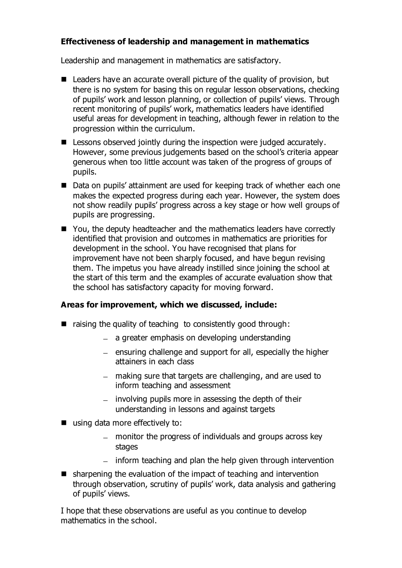# **Effectiveness of leadership and management in mathematics**

Leadership and management in mathematics are satisfactory.

- Leaders have an accurate overall picture of the quality of provision, but there is no system for basing this on regular lesson observations, checking of pupils' work and lesson planning, or collection of pupils' views. Through recent monitoring of pupils' work, mathematics leaders have identified useful areas for development in teaching, although fewer in relation to the progression within the curriculum.
- **E** Lessons observed jointly during the inspection were judged accurately. However, some previous judgements based on the school's criteria appear generous when too little account was taken of the progress of groups of pupils.
- Data on pupils' attainment are used for keeping track of whether each one makes the expected progress during each year. However, the system does not show readily pupils' progress across a key stage or how well groups of pupils are progressing.
- You, the deputy headteacher and the mathematics leaders have correctly identified that provision and outcomes in mathematics are priorities for development in the school. You have recognised that plans for improvement have not been sharply focused, and have begun revising them. The impetus you have already instilled since joining the school at the start of this term and the examples of accurate evaluation show that the school has satisfactory capacity for moving forward.

## **Areas for improvement, which we discussed, include:**

- $\blacksquare$  raising the quality of teaching to consistently good through:
	- $-$  a greater emphasis on developing understanding
	- $=$  ensuring challenge and support for all, especially the higher attainers in each class
	- making sure that targets are challenging, and are used to inform teaching and assessment
	- $-$  involving pupils more in assessing the depth of their understanding in lessons and against targets
- using data more effectively to:
	- monitor the progress of individuals and groups across key stages
	- $-$  inform teaching and plan the help given through intervention
- sharpening the evaluation of the impact of teaching and intervention through observation, scrutiny of pupils' work, data analysis and gathering of pupils' views.

I hope that these observations are useful as you continue to develop mathematics in the school.